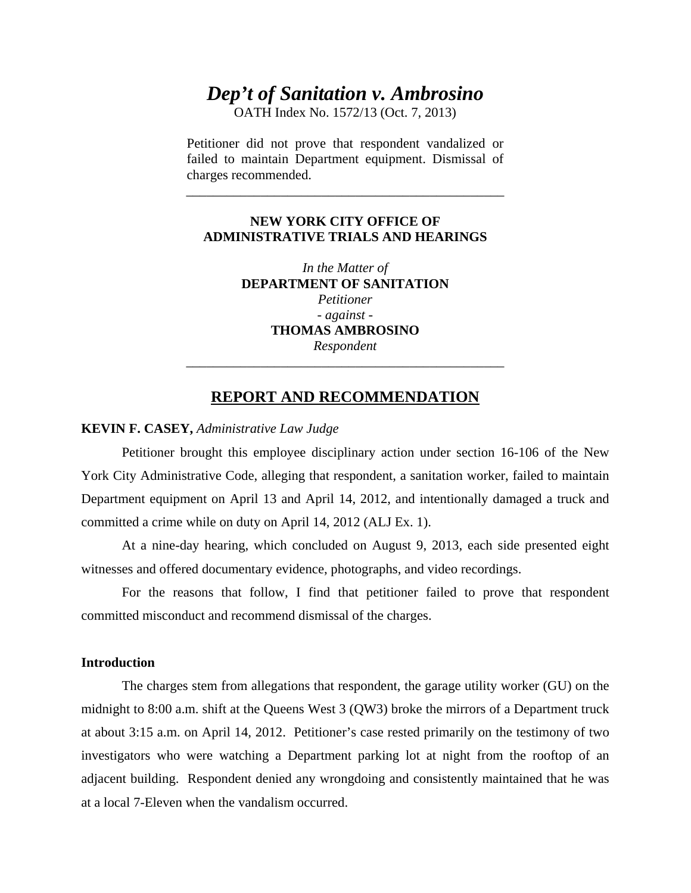# *Dep't of Sanitation v. Ambrosino*

OATH Index No. 1572/13 (Oct. 7, 2013)

Petitioner did not prove that respondent vandalized or failed to maintain Department equipment. Dismissal of charges recommended.

\_\_\_\_\_\_\_\_\_\_\_\_\_\_\_\_\_\_\_\_\_\_\_\_\_\_\_\_\_\_\_\_\_\_\_\_\_\_\_\_\_\_\_\_\_\_\_

### **NEW YORK CITY OFFICE OF ADMINISTRATIVE TRIALS AND HEARINGS**

*In the Matter of*  **DEPARTMENT OF SANITATION**  *Petitioner - against -* **THOMAS AMBROSINO** *Respondent* \_\_\_\_\_\_\_\_\_\_\_\_\_\_\_\_\_\_\_\_\_\_\_\_\_\_\_\_\_\_\_\_\_\_\_\_\_\_\_\_\_\_\_\_\_\_\_

## **REPORT AND RECOMMENDATION**

#### **KEVIN F. CASEY,** *Administrative Law Judge*

 Petitioner brought this employee disciplinary action under section 16-106 of the New York City Administrative Code, alleging that respondent, a sanitation worker, failed to maintain Department equipment on April 13 and April 14, 2012, and intentionally damaged a truck and committed a crime while on duty on April 14, 2012 (ALJ Ex. 1).

 At a nine-day hearing, which concluded on August 9, 2013, each side presented eight witnesses and offered documentary evidence, photographs, and video recordings.

 For the reasons that follow, I find that petitioner failed to prove that respondent committed misconduct and recommend dismissal of the charges.

#### **Introduction**

The charges stem from allegations that respondent, the garage utility worker (GU) on the midnight to 8:00 a.m. shift at the Queens West 3 (QW3) broke the mirrors of a Department truck at about 3:15 a.m. on April 14, 2012. Petitioner's case rested primarily on the testimony of two investigators who were watching a Department parking lot at night from the rooftop of an adjacent building. Respondent denied any wrongdoing and consistently maintained that he was at a local 7-Eleven when the vandalism occurred.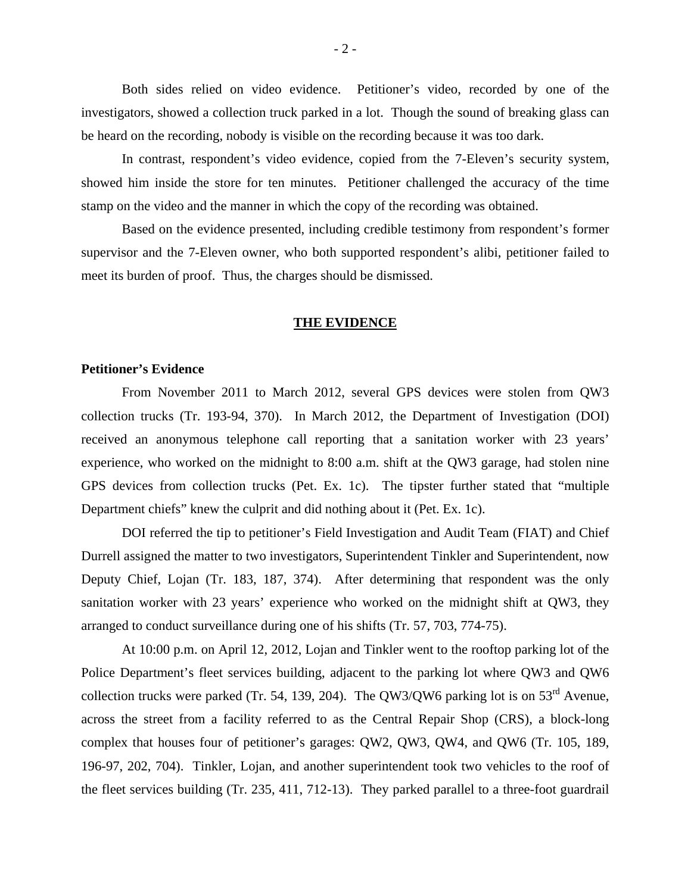Both sides relied on video evidence. Petitioner's video, recorded by one of the investigators, showed a collection truck parked in a lot. Though the sound of breaking glass can be heard on the recording, nobody is visible on the recording because it was too dark.

In contrast, respondent's video evidence, copied from the 7-Eleven's security system, showed him inside the store for ten minutes. Petitioner challenged the accuracy of the time stamp on the video and the manner in which the copy of the recording was obtained.

Based on the evidence presented, including credible testimony from respondent's former supervisor and the 7-Eleven owner, who both supported respondent's alibi, petitioner failed to meet its burden of proof. Thus, the charges should be dismissed.

#### **THE EVIDENCE**

#### **Petitioner's Evidence**

From November 2011 to March 2012, several GPS devices were stolen from QW3 collection trucks (Tr. 193-94, 370). In March 2012, the Department of Investigation (DOI) received an anonymous telephone call reporting that a sanitation worker with 23 years' experience, who worked on the midnight to 8:00 a.m. shift at the QW3 garage, had stolen nine GPS devices from collection trucks (Pet. Ex. 1c). The tipster further stated that "multiple Department chiefs" knew the culprit and did nothing about it (Pet. Ex. 1c).

DOI referred the tip to petitioner's Field Investigation and Audit Team (FIAT) and Chief Durrell assigned the matter to two investigators, Superintendent Tinkler and Superintendent, now Deputy Chief, Lojan (Tr. 183, 187, 374). After determining that respondent was the only sanitation worker with 23 years' experience who worked on the midnight shift at QW3, they arranged to conduct surveillance during one of his shifts (Tr. 57, 703, 774-75).

At 10:00 p.m. on April 12, 2012, Lojan and Tinkler went to the rooftop parking lot of the Police Department's fleet services building, adjacent to the parking lot where QW3 and QW6 collection trucks were parked (Tr. 54, 139, 204). The QW3/QW6 parking lot is on  $53<sup>rd</sup>$  Avenue, across the street from a facility referred to as the Central Repair Shop (CRS), a block-long complex that houses four of petitioner's garages: QW2, QW3, QW4, and QW6 (Tr. 105, 189, 196-97, 202, 704). Tinkler, Lojan, and another superintendent took two vehicles to the roof of the fleet services building (Tr. 235, 411, 712-13). They parked parallel to a three-foot guardrail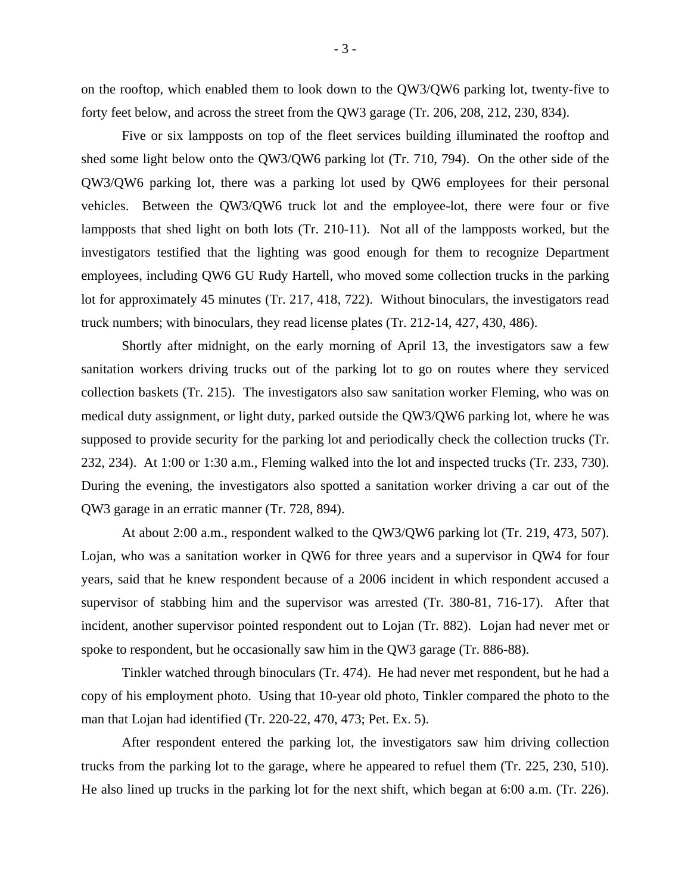on the rooftop, which enabled them to look down to the QW3/QW6 parking lot, twenty-five to forty feet below, and across the street from the QW3 garage (Tr. 206, 208, 212, 230, 834).

Five or six lampposts on top of the fleet services building illuminated the rooftop and shed some light below onto the QW3/QW6 parking lot (Tr. 710, 794). On the other side of the QW3/QW6 parking lot, there was a parking lot used by QW6 employees for their personal vehicles. Between the QW3/QW6 truck lot and the employee-lot, there were four or five lampposts that shed light on both lots (Tr. 210-11). Not all of the lampposts worked, but the investigators testified that the lighting was good enough for them to recognize Department employees, including QW6 GU Rudy Hartell, who moved some collection trucks in the parking lot for approximately 45 minutes (Tr. 217, 418, 722). Without binoculars, the investigators read truck numbers; with binoculars, they read license plates (Tr. 212-14, 427, 430, 486).

Shortly after midnight, on the early morning of April 13, the investigators saw a few sanitation workers driving trucks out of the parking lot to go on routes where they serviced collection baskets (Tr. 215). The investigators also saw sanitation worker Fleming, who was on medical duty assignment, or light duty, parked outside the QW3/QW6 parking lot, where he was supposed to provide security for the parking lot and periodically check the collection trucks (Tr. 232, 234). At 1:00 or 1:30 a.m., Fleming walked into the lot and inspected trucks (Tr. 233, 730). During the evening, the investigators also spotted a sanitation worker driving a car out of the QW3 garage in an erratic manner (Tr. 728, 894).

At about 2:00 a.m., respondent walked to the QW3/QW6 parking lot (Tr. 219, 473, 507). Lojan, who was a sanitation worker in QW6 for three years and a supervisor in QW4 for four years, said that he knew respondent because of a 2006 incident in which respondent accused a supervisor of stabbing him and the supervisor was arrested (Tr. 380-81, 716-17). After that incident, another supervisor pointed respondent out to Lojan (Tr. 882). Lojan had never met or spoke to respondent, but he occasionally saw him in the QW3 garage (Tr. 886-88).

Tinkler watched through binoculars (Tr. 474). He had never met respondent, but he had a copy of his employment photo. Using that 10-year old photo, Tinkler compared the photo to the man that Lojan had identified (Tr. 220-22, 470, 473; Pet. Ex. 5).

After respondent entered the parking lot, the investigators saw him driving collection trucks from the parking lot to the garage, where he appeared to refuel them (Tr. 225, 230, 510). He also lined up trucks in the parking lot for the next shift, which began at 6:00 a.m. (Tr. 226).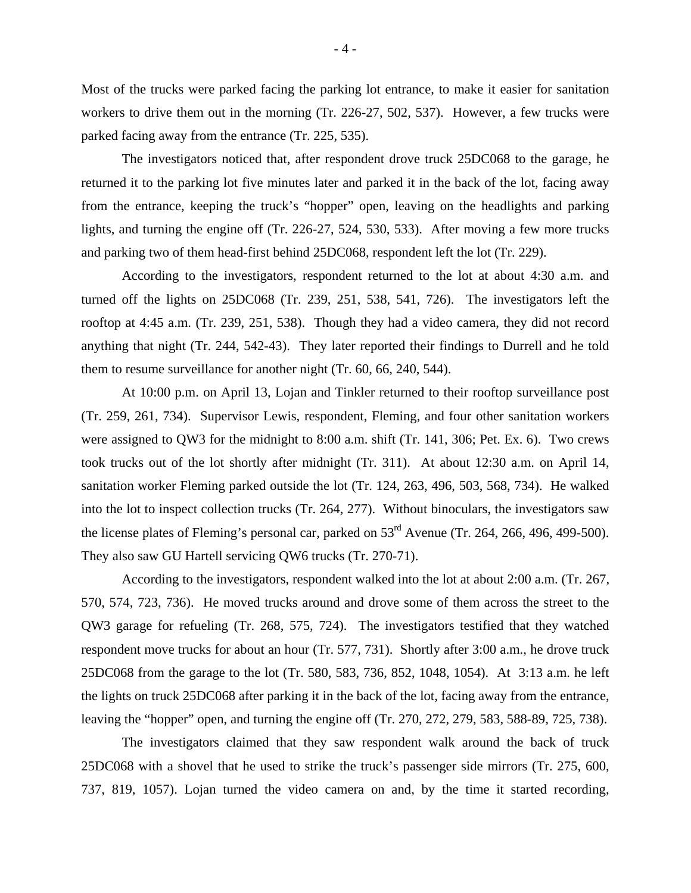Most of the trucks were parked facing the parking lot entrance, to make it easier for sanitation workers to drive them out in the morning (Tr. 226-27, 502, 537). However, a few trucks were parked facing away from the entrance (Tr. 225, 535).

The investigators noticed that, after respondent drove truck 25DC068 to the garage, he returned it to the parking lot five minutes later and parked it in the back of the lot, facing away from the entrance, keeping the truck's "hopper" open, leaving on the headlights and parking lights, and turning the engine off (Tr. 226-27, 524, 530, 533). After moving a few more trucks and parking two of them head-first behind 25DC068, respondent left the lot (Tr. 229).

According to the investigators, respondent returned to the lot at about 4:30 a.m. and turned off the lights on 25DC068 (Tr. 239, 251, 538, 541, 726). The investigators left the rooftop at 4:45 a.m. (Tr. 239, 251, 538). Though they had a video camera, they did not record anything that night (Tr. 244, 542-43). They later reported their findings to Durrell and he told them to resume surveillance for another night (Tr. 60, 66, 240, 544).

At 10:00 p.m. on April 13, Lojan and Tinkler returned to their rooftop surveillance post (Tr. 259, 261, 734). Supervisor Lewis, respondent, Fleming, and four other sanitation workers were assigned to QW3 for the midnight to 8:00 a.m. shift (Tr. 141, 306; Pet. Ex. 6). Two crews took trucks out of the lot shortly after midnight (Tr. 311). At about 12:30 a.m. on April 14, sanitation worker Fleming parked outside the lot (Tr. 124, 263, 496, 503, 568, 734). He walked into the lot to inspect collection trucks (Tr. 264, 277). Without binoculars, the investigators saw the license plates of Fleming's personal car, parked on 53<sup>rd</sup> Avenue (Tr. 264, 266, 496, 499-500). They also saw GU Hartell servicing QW6 trucks (Tr. 270-71).

According to the investigators, respondent walked into the lot at about 2:00 a.m. (Tr. 267, 570, 574, 723, 736). He moved trucks around and drove some of them across the street to the QW3 garage for refueling (Tr. 268, 575, 724). The investigators testified that they watched respondent move trucks for about an hour (Tr. 577, 731). Shortly after 3:00 a.m., he drove truck 25DC068 from the garage to the lot (Tr. 580, 583, 736, 852, 1048, 1054). At 3:13 a.m. he left the lights on truck 25DC068 after parking it in the back of the lot, facing away from the entrance, leaving the "hopper" open, and turning the engine off (Tr. 270, 272, 279, 583, 588-89, 725, 738).

The investigators claimed that they saw respondent walk around the back of truck 25DC068 with a shovel that he used to strike the truck's passenger side mirrors (Tr. 275, 600, 737, 819, 1057). Lojan turned the video camera on and, by the time it started recording,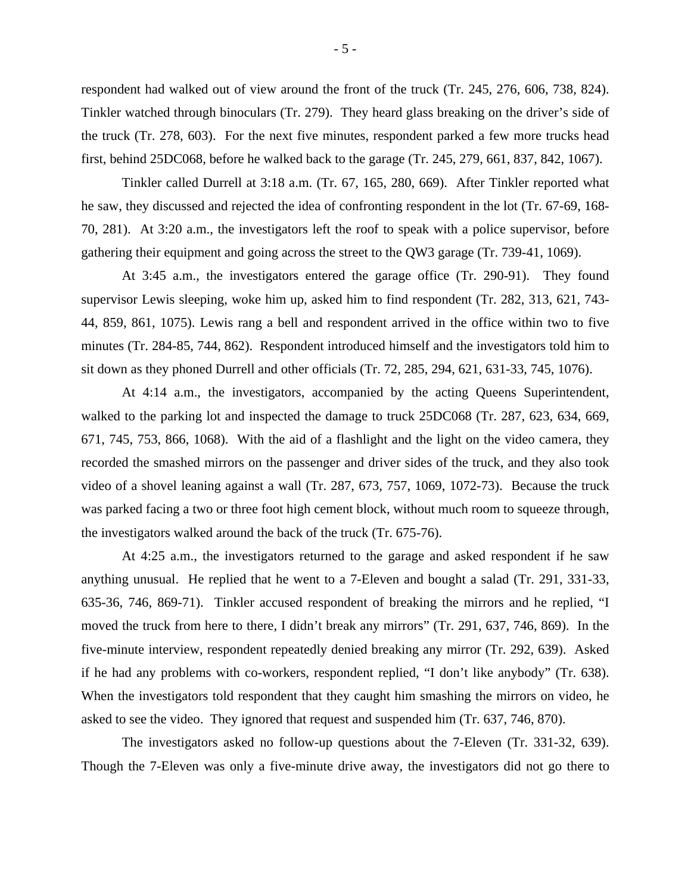respondent had walked out of view around the front of the truck (Tr. 245, 276, 606, 738, 824). Tinkler watched through binoculars (Tr. 279). They heard glass breaking on the driver's side of the truck (Tr. 278, 603). For the next five minutes, respondent parked a few more trucks head first, behind 25DC068, before he walked back to the garage (Tr. 245, 279, 661, 837, 842, 1067).

Tinkler called Durrell at 3:18 a.m. (Tr. 67, 165, 280, 669). After Tinkler reported what he saw, they discussed and rejected the idea of confronting respondent in the lot (Tr. 67-69, 168- 70, 281). At 3:20 a.m., the investigators left the roof to speak with a police supervisor, before gathering their equipment and going across the street to the QW3 garage (Tr. 739-41, 1069).

At 3:45 a.m., the investigators entered the garage office (Tr. 290-91). They found supervisor Lewis sleeping, woke him up, asked him to find respondent (Tr. 282, 313, 621, 743- 44, 859, 861, 1075). Lewis rang a bell and respondent arrived in the office within two to five minutes (Tr. 284-85, 744, 862). Respondent introduced himself and the investigators told him to sit down as they phoned Durrell and other officials (Tr. 72, 285, 294, 621, 631-33, 745, 1076).

At 4:14 a.m., the investigators, accompanied by the acting Queens Superintendent, walked to the parking lot and inspected the damage to truck 25DC068 (Tr. 287, 623, 634, 669, 671, 745, 753, 866, 1068). With the aid of a flashlight and the light on the video camera, they recorded the smashed mirrors on the passenger and driver sides of the truck, and they also took video of a shovel leaning against a wall (Tr. 287, 673, 757, 1069, 1072-73). Because the truck was parked facing a two or three foot high cement block, without much room to squeeze through, the investigators walked around the back of the truck (Tr. 675-76).

At 4:25 a.m., the investigators returned to the garage and asked respondent if he saw anything unusual. He replied that he went to a 7-Eleven and bought a salad (Tr. 291, 331-33, 635-36, 746, 869-71). Tinkler accused respondent of breaking the mirrors and he replied, "I moved the truck from here to there, I didn't break any mirrors" (Tr. 291, 637, 746, 869). In the five-minute interview, respondent repeatedly denied breaking any mirror (Tr. 292, 639). Asked if he had any problems with co-workers, respondent replied, "I don't like anybody" (Tr. 638). When the investigators told respondent that they caught him smashing the mirrors on video, he asked to see the video. They ignored that request and suspended him (Tr. 637, 746, 870).

The investigators asked no follow-up questions about the 7-Eleven (Tr. 331-32, 639). Though the 7-Eleven was only a five-minute drive away, the investigators did not go there to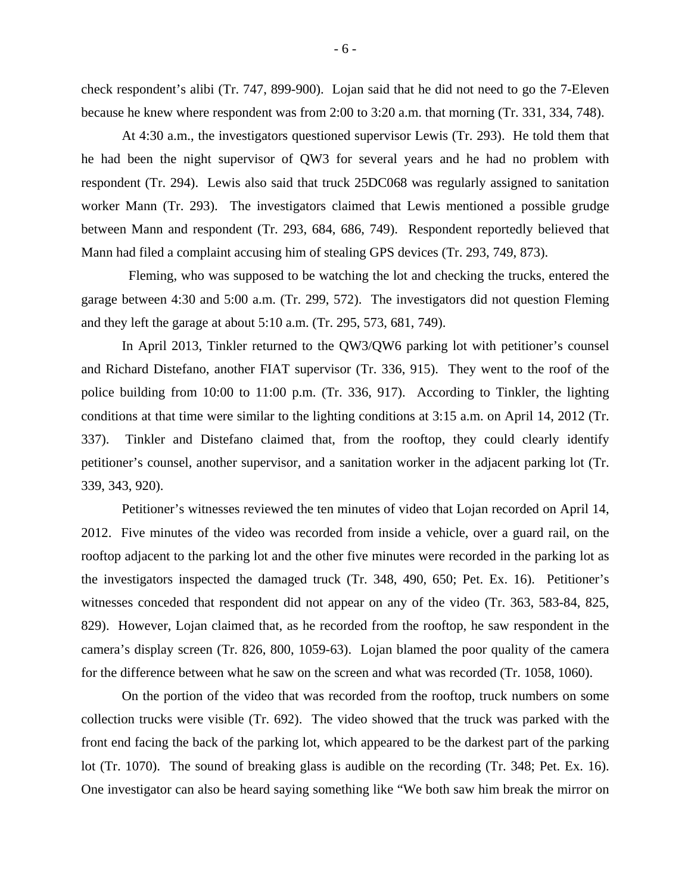check respondent's alibi (Tr. 747, 899-900). Lojan said that he did not need to go the 7-Eleven because he knew where respondent was from 2:00 to 3:20 a.m. that morning (Tr. 331, 334, 748).

At 4:30 a.m., the investigators questioned supervisor Lewis (Tr. 293). He told them that he had been the night supervisor of QW3 for several years and he had no problem with respondent (Tr. 294). Lewis also said that truck 25DC068 was regularly assigned to sanitation worker Mann (Tr. 293). The investigators claimed that Lewis mentioned a possible grudge between Mann and respondent (Tr. 293, 684, 686, 749). Respondent reportedly believed that Mann had filed a complaint accusing him of stealing GPS devices (Tr. 293, 749, 873).

 Fleming, who was supposed to be watching the lot and checking the trucks, entered the garage between 4:30 and 5:00 a.m. (Tr. 299, 572). The investigators did not question Fleming and they left the garage at about 5:10 a.m. (Tr. 295, 573, 681, 749).

In April 2013, Tinkler returned to the QW3/QW6 parking lot with petitioner's counsel and Richard Distefano, another FIAT supervisor (Tr. 336, 915). They went to the roof of the police building from 10:00 to 11:00 p.m. (Tr. 336, 917). According to Tinkler, the lighting conditions at that time were similar to the lighting conditions at 3:15 a.m. on April 14, 2012 (Tr. 337). Tinkler and Distefano claimed that, from the rooftop, they could clearly identify petitioner's counsel, another supervisor, and a sanitation worker in the adjacent parking lot (Tr. 339, 343, 920).

Petitioner's witnesses reviewed the ten minutes of video that Lojan recorded on April 14, 2012. Five minutes of the video was recorded from inside a vehicle, over a guard rail, on the rooftop adjacent to the parking lot and the other five minutes were recorded in the parking lot as the investigators inspected the damaged truck (Tr. 348, 490, 650; Pet. Ex. 16). Petitioner's witnesses conceded that respondent did not appear on any of the video (Tr. 363, 583-84, 825, 829). However, Lojan claimed that, as he recorded from the rooftop, he saw respondent in the camera's display screen (Tr. 826, 800, 1059-63). Lojan blamed the poor quality of the camera for the difference between what he saw on the screen and what was recorded (Tr. 1058, 1060).

On the portion of the video that was recorded from the rooftop, truck numbers on some collection trucks were visible (Tr. 692). The video showed that the truck was parked with the front end facing the back of the parking lot, which appeared to be the darkest part of the parking lot (Tr. 1070). The sound of breaking glass is audible on the recording (Tr. 348; Pet. Ex. 16). One investigator can also be heard saying something like "We both saw him break the mirror on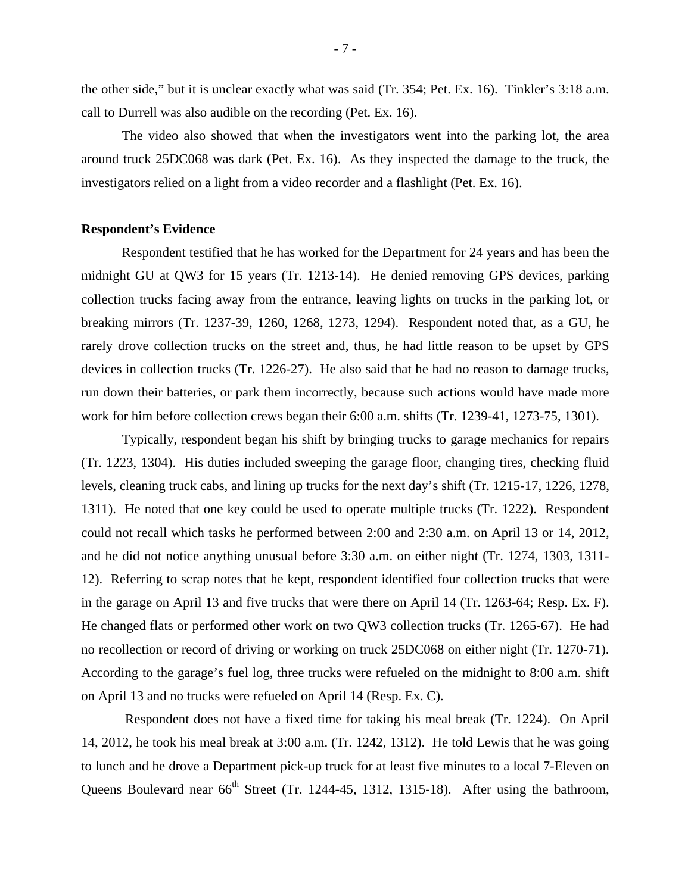the other side," but it is unclear exactly what was said (Tr. 354; Pet. Ex. 16). Tinkler's 3:18 a.m. call to Durrell was also audible on the recording (Pet. Ex. 16).

The video also showed that when the investigators went into the parking lot, the area around truck 25DC068 was dark (Pet. Ex. 16). As they inspected the damage to the truck, the investigators relied on a light from a video recorder and a flashlight (Pet. Ex. 16).

#### **Respondent's Evidence**

 Respondent testified that he has worked for the Department for 24 years and has been the midnight GU at QW3 for 15 years (Tr. 1213-14). He denied removing GPS devices, parking collection trucks facing away from the entrance, leaving lights on trucks in the parking lot, or breaking mirrors (Tr. 1237-39, 1260, 1268, 1273, 1294). Respondent noted that, as a GU, he rarely drove collection trucks on the street and, thus, he had little reason to be upset by GPS devices in collection trucks (Tr. 1226-27). He also said that he had no reason to damage trucks, run down their batteries, or park them incorrectly, because such actions would have made more work for him before collection crews began their 6:00 a.m. shifts (Tr. 1239-41, 1273-75, 1301).

Typically, respondent began his shift by bringing trucks to garage mechanics for repairs (Tr. 1223, 1304). His duties included sweeping the garage floor, changing tires, checking fluid levels, cleaning truck cabs, and lining up trucks for the next day's shift (Tr. 1215-17, 1226, 1278, 1311). He noted that one key could be used to operate multiple trucks (Tr. 1222). Respondent could not recall which tasks he performed between 2:00 and 2:30 a.m. on April 13 or 14, 2012, and he did not notice anything unusual before 3:30 a.m. on either night (Tr. 1274, 1303, 1311- 12). Referring to scrap notes that he kept, respondent identified four collection trucks that were in the garage on April 13 and five trucks that were there on April 14 (Tr. 1263-64; Resp. Ex. F). He changed flats or performed other work on two QW3 collection trucks (Tr. 1265-67). He had no recollection or record of driving or working on truck 25DC068 on either night (Tr. 1270-71). According to the garage's fuel log, three trucks were refueled on the midnight to 8:00 a.m. shift on April 13 and no trucks were refueled on April 14 (Resp. Ex. C).

 Respondent does not have a fixed time for taking his meal break (Tr. 1224). On April 14, 2012, he took his meal break at 3:00 a.m. (Tr. 1242, 1312). He told Lewis that he was going to lunch and he drove a Department pick-up truck for at least five minutes to a local 7-Eleven on Queens Boulevard near 66<sup>th</sup> Street (Tr. 1244-45, 1312, 1315-18). After using the bathroom,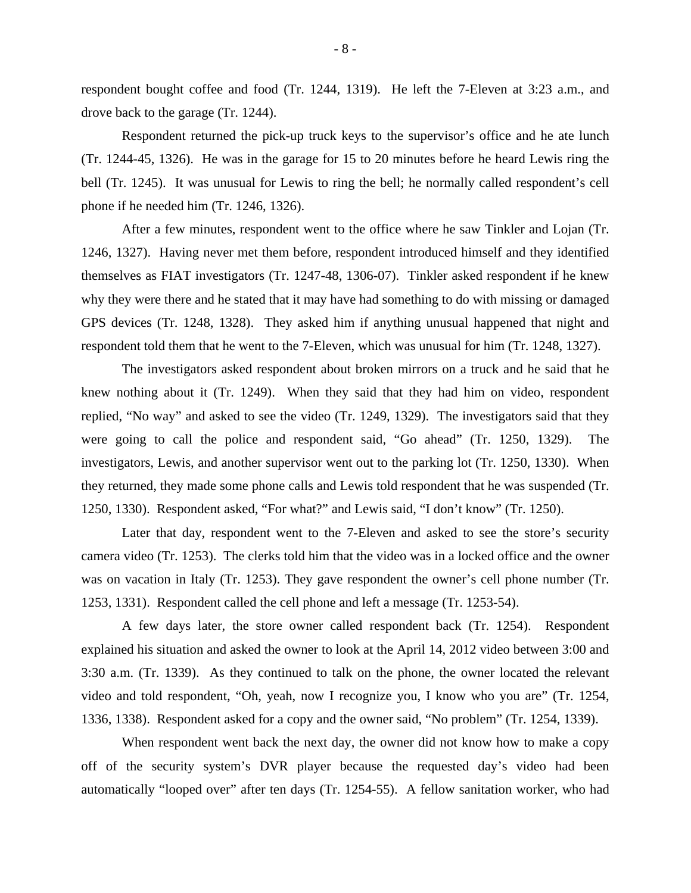respondent bought coffee and food (Tr. 1244, 1319). He left the 7-Eleven at 3:23 a.m., and drove back to the garage (Tr. 1244).

Respondent returned the pick-up truck keys to the supervisor's office and he ate lunch (Tr. 1244-45, 1326). He was in the garage for 15 to 20 minutes before he heard Lewis ring the bell (Tr. 1245). It was unusual for Lewis to ring the bell; he normally called respondent's cell phone if he needed him (Tr. 1246, 1326).

After a few minutes, respondent went to the office where he saw Tinkler and Lojan (Tr. 1246, 1327). Having never met them before, respondent introduced himself and they identified themselves as FIAT investigators (Tr. 1247-48, 1306-07). Tinkler asked respondent if he knew why they were there and he stated that it may have had something to do with missing or damaged GPS devices (Tr. 1248, 1328). They asked him if anything unusual happened that night and respondent told them that he went to the 7-Eleven, which was unusual for him (Tr. 1248, 1327).

The investigators asked respondent about broken mirrors on a truck and he said that he knew nothing about it (Tr. 1249). When they said that they had him on video, respondent replied, "No way" and asked to see the video (Tr. 1249, 1329). The investigators said that they were going to call the police and respondent said, "Go ahead" (Tr. 1250, 1329). The investigators, Lewis, and another supervisor went out to the parking lot (Tr. 1250, 1330). When they returned, they made some phone calls and Lewis told respondent that he was suspended (Tr. 1250, 1330). Respondent asked, "For what?" and Lewis said, "I don't know" (Tr. 1250).

Later that day, respondent went to the 7-Eleven and asked to see the store's security camera video (Tr. 1253). The clerks told him that the video was in a locked office and the owner was on vacation in Italy (Tr. 1253). They gave respondent the owner's cell phone number (Tr. 1253, 1331). Respondent called the cell phone and left a message (Tr. 1253-54).

A few days later, the store owner called respondent back (Tr. 1254). Respondent explained his situation and asked the owner to look at the April 14, 2012 video between 3:00 and 3:30 a.m. (Tr. 1339). As they continued to talk on the phone, the owner located the relevant video and told respondent, "Oh, yeah, now I recognize you, I know who you are" (Tr. 1254, 1336, 1338). Respondent asked for a copy and the owner said, "No problem" (Tr. 1254, 1339).

When respondent went back the next day, the owner did not know how to make a copy off of the security system's DVR player because the requested day's video had been automatically "looped over" after ten days (Tr. 1254-55). A fellow sanitation worker, who had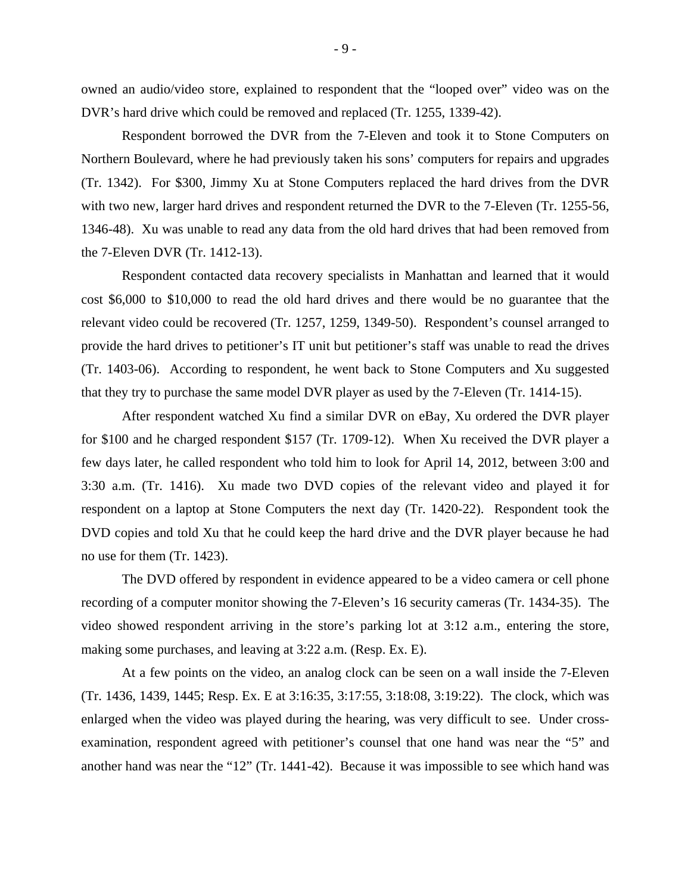owned an audio/video store, explained to respondent that the "looped over" video was on the DVR's hard drive which could be removed and replaced (Tr. 1255, 1339-42).

Respondent borrowed the DVR from the 7-Eleven and took it to Stone Computers on Northern Boulevard, where he had previously taken his sons' computers for repairs and upgrades (Tr. 1342). For \$300, Jimmy Xu at Stone Computers replaced the hard drives from the DVR with two new, larger hard drives and respondent returned the DVR to the 7-Eleven (Tr. 1255-56, 1346-48). Xu was unable to read any data from the old hard drives that had been removed from the 7-Eleven DVR (Tr. 1412-13).

Respondent contacted data recovery specialists in Manhattan and learned that it would cost \$6,000 to \$10,000 to read the old hard drives and there would be no guarantee that the relevant video could be recovered (Tr. 1257, 1259, 1349-50). Respondent's counsel arranged to provide the hard drives to petitioner's IT unit but petitioner's staff was unable to read the drives (Tr. 1403-06). According to respondent, he went back to Stone Computers and Xu suggested that they try to purchase the same model DVR player as used by the 7-Eleven (Tr. 1414-15).

After respondent watched Xu find a similar DVR on eBay, Xu ordered the DVR player for \$100 and he charged respondent \$157 (Tr. 1709-12). When Xu received the DVR player a few days later, he called respondent who told him to look for April 14, 2012, between 3:00 and 3:30 a.m. (Tr. 1416). Xu made two DVD copies of the relevant video and played it for respondent on a laptop at Stone Computers the next day (Tr. 1420-22). Respondent took the DVD copies and told Xu that he could keep the hard drive and the DVR player because he had no use for them (Tr. 1423).

The DVD offered by respondent in evidence appeared to be a video camera or cell phone recording of a computer monitor showing the 7-Eleven's 16 security cameras (Tr. 1434-35). The video showed respondent arriving in the store's parking lot at 3:12 a.m., entering the store, making some purchases, and leaving at 3:22 a.m. (Resp. Ex. E).

At a few points on the video, an analog clock can be seen on a wall inside the 7-Eleven (Tr. 1436, 1439, 1445; Resp. Ex. E at 3:16:35, 3:17:55, 3:18:08, 3:19:22). The clock, which was enlarged when the video was played during the hearing, was very difficult to see. Under crossexamination, respondent agreed with petitioner's counsel that one hand was near the "5" and another hand was near the "12" (Tr. 1441-42). Because it was impossible to see which hand was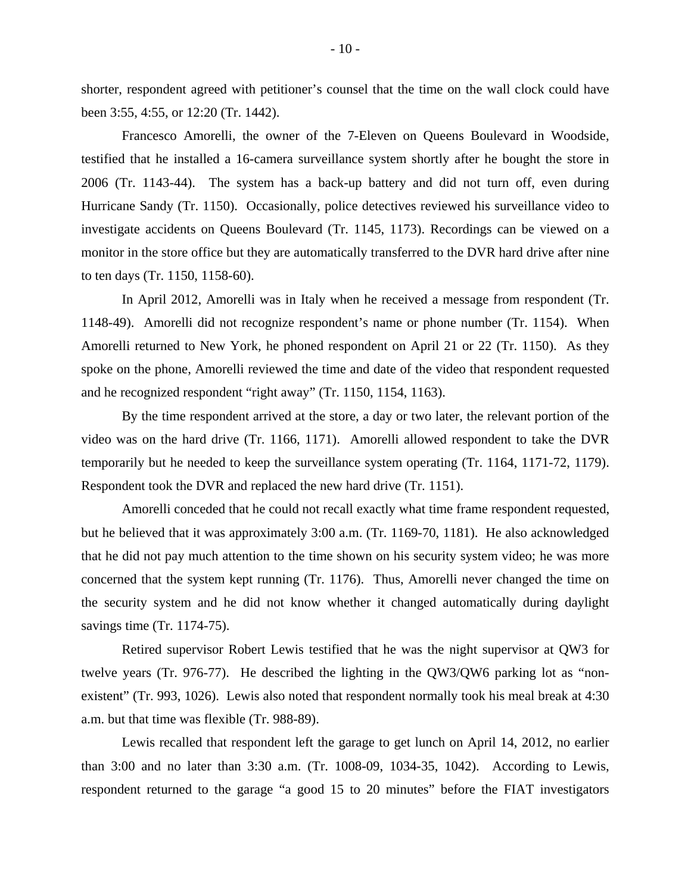shorter, respondent agreed with petitioner's counsel that the time on the wall clock could have been 3:55, 4:55, or 12:20 (Tr. 1442).

Francesco Amorelli, the owner of the 7-Eleven on Queens Boulevard in Woodside, testified that he installed a 16-camera surveillance system shortly after he bought the store in 2006 (Tr. 1143-44). The system has a back-up battery and did not turn off, even during Hurricane Sandy (Tr. 1150). Occasionally, police detectives reviewed his surveillance video to investigate accidents on Queens Boulevard (Tr. 1145, 1173). Recordings can be viewed on a monitor in the store office but they are automatically transferred to the DVR hard drive after nine to ten days (Tr. 1150, 1158-60).

In April 2012, Amorelli was in Italy when he received a message from respondent (Tr. 1148-49). Amorelli did not recognize respondent's name or phone number (Tr. 1154). When Amorelli returned to New York, he phoned respondent on April 21 or 22 (Tr. 1150). As they spoke on the phone, Amorelli reviewed the time and date of the video that respondent requested and he recognized respondent "right away" (Tr. 1150, 1154, 1163).

By the time respondent arrived at the store, a day or two later, the relevant portion of the video was on the hard drive (Tr. 1166, 1171). Amorelli allowed respondent to take the DVR temporarily but he needed to keep the surveillance system operating (Tr. 1164, 1171-72, 1179). Respondent took the DVR and replaced the new hard drive (Tr. 1151).

Amorelli conceded that he could not recall exactly what time frame respondent requested, but he believed that it was approximately 3:00 a.m. (Tr. 1169-70, 1181). He also acknowledged that he did not pay much attention to the time shown on his security system video; he was more concerned that the system kept running (Tr. 1176). Thus, Amorelli never changed the time on the security system and he did not know whether it changed automatically during daylight savings time (Tr. 1174-75).

Retired supervisor Robert Lewis testified that he was the night supervisor at QW3 for twelve years (Tr. 976-77). He described the lighting in the QW3/QW6 parking lot as "nonexistent" (Tr. 993, 1026). Lewis also noted that respondent normally took his meal break at 4:30 a.m. but that time was flexible (Tr. 988-89).

Lewis recalled that respondent left the garage to get lunch on April 14, 2012, no earlier than 3:00 and no later than 3:30 a.m. (Tr. 1008-09, 1034-35, 1042). According to Lewis, respondent returned to the garage "a good 15 to 20 minutes" before the FIAT investigators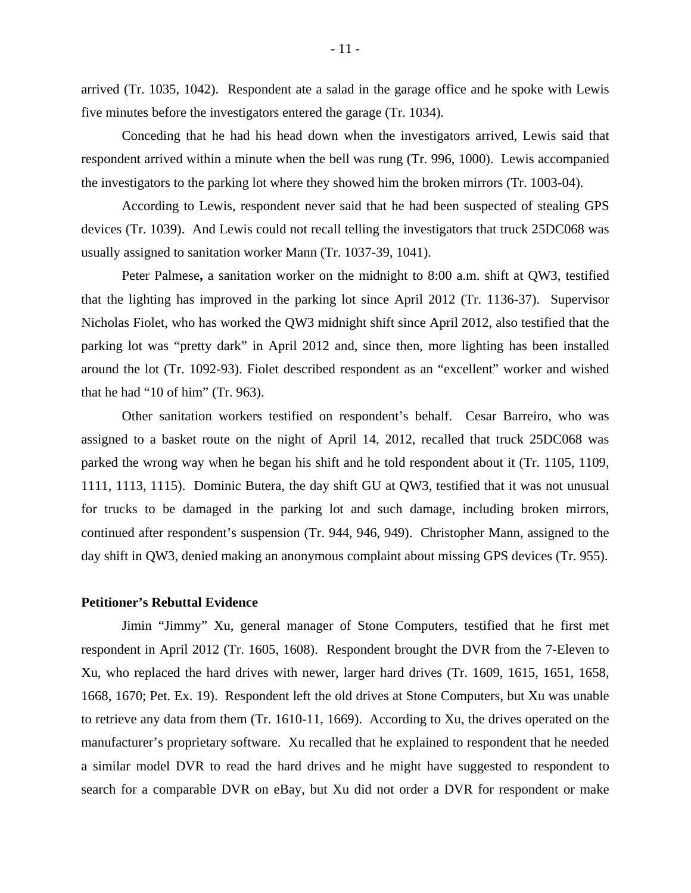arrived (Tr. 1035, 1042). Respondent ate a salad in the garage office and he spoke with Lewis five minutes before the investigators entered the garage (Tr. 1034).

Conceding that he had his head down when the investigators arrived, Lewis said that respondent arrived within a minute when the bell was rung (Tr. 996, 1000). Lewis accompanied the investigators to the parking lot where they showed him the broken mirrors (Tr. 1003-04).

According to Lewis, respondent never said that he had been suspected of stealing GPS devices (Tr. 1039). And Lewis could not recall telling the investigators that truck 25DC068 was usually assigned to sanitation worker Mann (Tr. 1037-39, 1041).

Peter Palmese**,** a sanitation worker on the midnight to 8:00 a.m. shift at QW3, testified that the lighting has improved in the parking lot since April 2012 (Tr. 1136-37). Supervisor Nicholas Fiolet, who has worked the QW3 midnight shift since April 2012, also testified that the parking lot was "pretty dark" in April 2012 and, since then, more lighting has been installed around the lot (Tr. 1092-93). Fiolet described respondent as an "excellent" worker and wished that he had "10 of him" (Tr. 963).

Other sanitation workers testified on respondent's behalf. Cesar Barreiro, who was assigned to a basket route on the night of April 14, 2012, recalled that truck 25DC068 was parked the wrong way when he began his shift and he told respondent about it (Tr. 1105, 1109, 1111, 1113, 1115). Dominic Butera, the day shift GU at QW3, testified that it was not unusual for trucks to be damaged in the parking lot and such damage, including broken mirrors, continued after respondent's suspension (Tr. 944, 946, 949). Christopher Mann, assigned to the day shift in QW3, denied making an anonymous complaint about missing GPS devices (Tr. 955).

#### **Petitioner's Rebuttal Evidence**

 Jimin "Jimmy" Xu, general manager of Stone Computers, testified that he first met respondent in April 2012 (Tr. 1605, 1608). Respondent brought the DVR from the 7-Eleven to Xu, who replaced the hard drives with newer, larger hard drives (Tr. 1609, 1615, 1651, 1658, 1668, 1670; Pet. Ex. 19). Respondent left the old drives at Stone Computers, but Xu was unable to retrieve any data from them (Tr. 1610-11, 1669). According to Xu, the drives operated on the manufacturer's proprietary software. Xu recalled that he explained to respondent that he needed a similar model DVR to read the hard drives and he might have suggested to respondent to search for a comparable DVR on eBay, but Xu did not order a DVR for respondent or make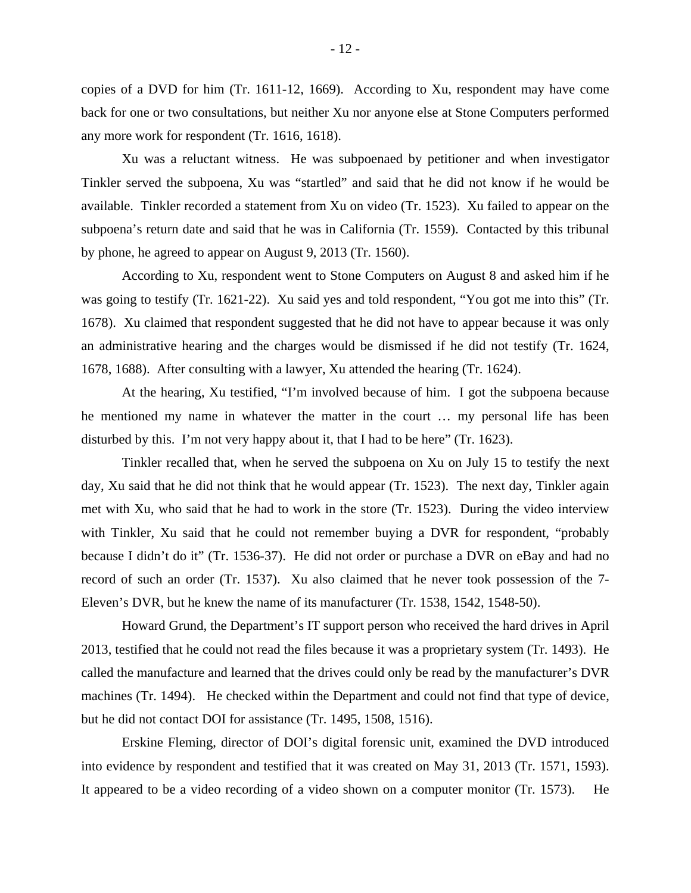copies of a DVD for him (Tr. 1611-12, 1669). According to Xu, respondent may have come back for one or two consultations, but neither Xu nor anyone else at Stone Computers performed any more work for respondent (Tr. 1616, 1618).

 Xu was a reluctant witness. He was subpoenaed by petitioner and when investigator Tinkler served the subpoena, Xu was "startled" and said that he did not know if he would be available. Tinkler recorded a statement from Xu on video (Tr. 1523). Xu failed to appear on the subpoena's return date and said that he was in California (Tr. 1559). Contacted by this tribunal by phone, he agreed to appear on August 9, 2013 (Tr. 1560).

According to Xu, respondent went to Stone Computers on August 8 and asked him if he was going to testify (Tr. 1621-22). Xu said yes and told respondent, "You got me into this" (Tr. 1678). Xu claimed that respondent suggested that he did not have to appear because it was only an administrative hearing and the charges would be dismissed if he did not testify (Tr. 1624, 1678, 1688). After consulting with a lawyer, Xu attended the hearing (Tr. 1624).

At the hearing, Xu testified, "I'm involved because of him. I got the subpoena because he mentioned my name in whatever the matter in the court … my personal life has been disturbed by this. I'm not very happy about it, that I had to be here" (Tr. 1623).

Tinkler recalled that, when he served the subpoena on Xu on July 15 to testify the next day, Xu said that he did not think that he would appear (Tr. 1523). The next day, Tinkler again met with Xu, who said that he had to work in the store (Tr. 1523). During the video interview with Tinkler, Xu said that he could not remember buying a DVR for respondent, "probably because I didn't do it" (Tr. 1536-37). He did not order or purchase a DVR on eBay and had no record of such an order (Tr. 1537). Xu also claimed that he never took possession of the 7- Eleven's DVR, but he knew the name of its manufacturer (Tr. 1538, 1542, 1548-50).

Howard Grund, the Department's IT support person who received the hard drives in April 2013, testified that he could not read the files because it was a proprietary system (Tr. 1493). He called the manufacture and learned that the drives could only be read by the manufacturer's DVR machines (Tr. 1494). He checked within the Department and could not find that type of device, but he did not contact DOI for assistance (Tr. 1495, 1508, 1516).

Erskine Fleming, director of DOI's digital forensic unit, examined the DVD introduced into evidence by respondent and testified that it was created on May 31, 2013 (Tr. 1571, 1593). It appeared to be a video recording of a video shown on a computer monitor (Tr. 1573). He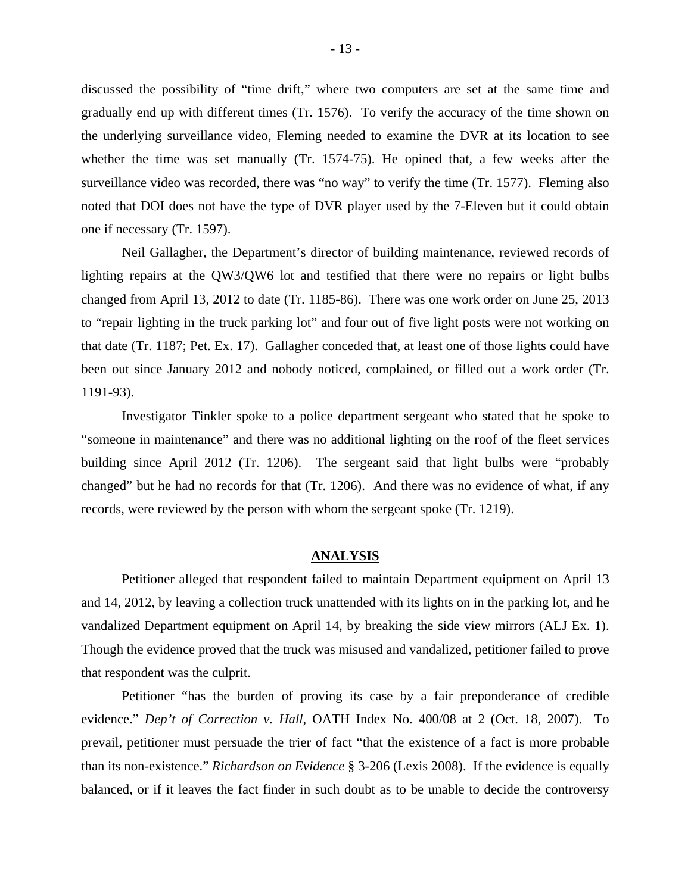discussed the possibility of "time drift," where two computers are set at the same time and gradually end up with different times (Tr. 1576). To verify the accuracy of the time shown on the underlying surveillance video, Fleming needed to examine the DVR at its location to see whether the time was set manually (Tr. 1574-75). He opined that, a few weeks after the surveillance video was recorded, there was "no way" to verify the time (Tr. 1577). Fleming also noted that DOI does not have the type of DVR player used by the 7-Eleven but it could obtain one if necessary (Tr. 1597).

Neil Gallagher, the Department's director of building maintenance, reviewed records of lighting repairs at the QW3/QW6 lot and testified that there were no repairs or light bulbs changed from April 13, 2012 to date (Tr. 1185-86). There was one work order on June 25, 2013 to "repair lighting in the truck parking lot" and four out of five light posts were not working on that date (Tr. 1187; Pet. Ex. 17). Gallagher conceded that, at least one of those lights could have been out since January 2012 and nobody noticed, complained, or filled out a work order (Tr. 1191-93).

Investigator Tinkler spoke to a police department sergeant who stated that he spoke to "someone in maintenance" and there was no additional lighting on the roof of the fleet services building since April 2012 (Tr. 1206). The sergeant said that light bulbs were "probably changed" but he had no records for that (Tr. 1206). And there was no evidence of what, if any records, were reviewed by the person with whom the sergeant spoke (Tr. 1219).

#### **ANALYSIS**

Petitioner alleged that respondent failed to maintain Department equipment on April 13 and 14, 2012, by leaving a collection truck unattended with its lights on in the parking lot, and he vandalized Department equipment on April 14, by breaking the side view mirrors (ALJ Ex. 1). Though the evidence proved that the truck was misused and vandalized, petitioner failed to prove that respondent was the culprit.

Petitioner "has the burden of proving its case by a fair preponderance of credible evidence." *Dep't of Correction v. Hall*, OATH Index No. 400/08 at 2 (Oct. 18, 2007). To prevail, petitioner must persuade the trier of fact "that the existence of a fact is more probable than its non-existence." *Richardson on Evidence* § 3-206 (Lexis 2008). If the evidence is equally balanced, or if it leaves the fact finder in such doubt as to be unable to decide the controversy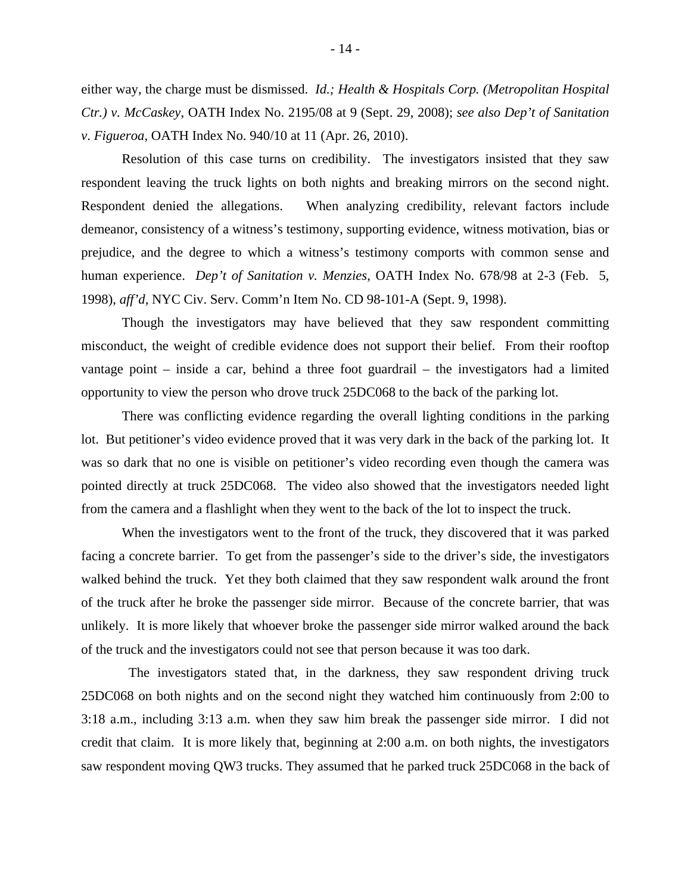either way, the charge must be dismissed. *Id.; Health & Hospitals Corp. (Metropolitan Hospital Ctr.) v. McCaskey*, OATH Index No. 2195/08 at 9 (Sept. 29, 2008); *see also Dep't of Sanitation v*. *Figueroa*, OATH Index No. 940/10 at 11 (Apr. 26, 2010).

Resolution of this case turns on credibility. The investigators insisted that they saw respondent leaving the truck lights on both nights and breaking mirrors on the second night. Respondent denied the allegations. When analyzing credibility, relevant factors include demeanor, consistency of a witness's testimony, supporting evidence, witness motivation, bias or prejudice, and the degree to which a witness's testimony comports with common sense and human experience. *Dep't of Sanitation v. Menzies*, OATH Index No. 678/98 at 2-3 (Feb. 5, 1998), *aff'd,* NYC Civ. Serv. Comm'n Item No. CD 98-101-A (Sept. 9, 1998).

Though the investigators may have believed that they saw respondent committing misconduct, the weight of credible evidence does not support their belief. From their rooftop vantage point – inside a car, behind a three foot guardrail – the investigators had a limited opportunity to view the person who drove truck 25DC068 to the back of the parking lot.

There was conflicting evidence regarding the overall lighting conditions in the parking lot. But petitioner's video evidence proved that it was very dark in the back of the parking lot. It was so dark that no one is visible on petitioner's video recording even though the camera was pointed directly at truck 25DC068. The video also showed that the investigators needed light from the camera and a flashlight when they went to the back of the lot to inspect the truck.

When the investigators went to the front of the truck, they discovered that it was parked facing a concrete barrier. To get from the passenger's side to the driver's side, the investigators walked behind the truck. Yet they both claimed that they saw respondent walk around the front of the truck after he broke the passenger side mirror. Because of the concrete barrier, that was unlikely. It is more likely that whoever broke the passenger side mirror walked around the back of the truck and the investigators could not see that person because it was too dark.

 The investigators stated that, in the darkness, they saw respondent driving truck 25DC068 on both nights and on the second night they watched him continuously from 2:00 to 3:18 a.m., including 3:13 a.m. when they saw him break the passenger side mirror. I did not credit that claim. It is more likely that, beginning at 2:00 a.m. on both nights, the investigators saw respondent moving QW3 trucks. They assumed that he parked truck 25DC068 in the back of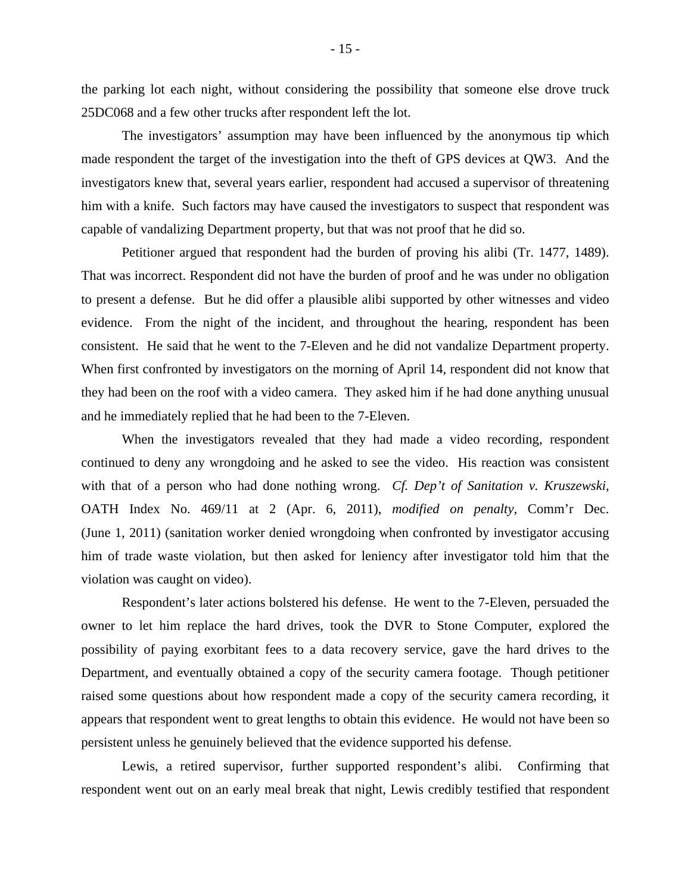the parking lot each night, without considering the possibility that someone else drove truck 25DC068 and a few other trucks after respondent left the lot.

The investigators' assumption may have been influenced by the anonymous tip which made respondent the target of the investigation into the theft of GPS devices at QW3. And the investigators knew that, several years earlier, respondent had accused a supervisor of threatening him with a knife. Such factors may have caused the investigators to suspect that respondent was capable of vandalizing Department property, but that was not proof that he did so.

Petitioner argued that respondent had the burden of proving his alibi (Tr. 1477, 1489). That was incorrect. Respondent did not have the burden of proof and he was under no obligation to present a defense. But he did offer a plausible alibi supported by other witnesses and video evidence. From the night of the incident, and throughout the hearing, respondent has been consistent. He said that he went to the 7-Eleven and he did not vandalize Department property. When first confronted by investigators on the morning of April 14, respondent did not know that they had been on the roof with a video camera. They asked him if he had done anything unusual and he immediately replied that he had been to the 7-Eleven.

When the investigators revealed that they had made a video recording, respondent continued to deny any wrongdoing and he asked to see the video. His reaction was consistent with that of a person who had done nothing wrong. *Cf. Dep't of Sanitation v. Kruszewski*, OATH Index No. 469/11 at 2 (Apr. 6, 2011), *modified on penalty*, Comm'r Dec. (June 1, 2011) (sanitation worker denied wrongdoing when confronted by investigator accusing him of trade waste violation, but then asked for leniency after investigator told him that the violation was caught on video).

Respondent's later actions bolstered his defense. He went to the 7-Eleven, persuaded the owner to let him replace the hard drives, took the DVR to Stone Computer, explored the possibility of paying exorbitant fees to a data recovery service, gave the hard drives to the Department, and eventually obtained a copy of the security camera footage. Though petitioner raised some questions about how respondent made a copy of the security camera recording, it appears that respondent went to great lengths to obtain this evidence. He would not have been so persistent unless he genuinely believed that the evidence supported his defense.

Lewis, a retired supervisor, further supported respondent's alibi. Confirming that respondent went out on an early meal break that night, Lewis credibly testified that respondent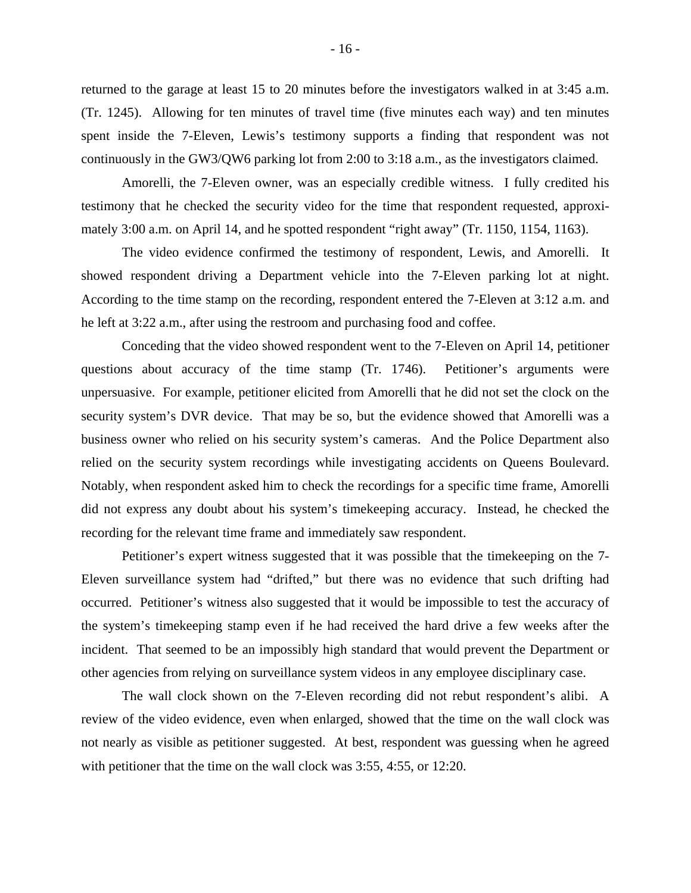returned to the garage at least 15 to 20 minutes before the investigators walked in at 3:45 a.m. (Tr. 1245). Allowing for ten minutes of travel time (five minutes each way) and ten minutes spent inside the 7-Eleven, Lewis's testimony supports a finding that respondent was not continuously in the GW3/QW6 parking lot from 2:00 to 3:18 a.m., as the investigators claimed.

Amorelli, the 7-Eleven owner, was an especially credible witness. I fully credited his testimony that he checked the security video for the time that respondent requested, approximately 3:00 a.m. on April 14, and he spotted respondent "right away" (Tr. 1150, 1154, 1163).

The video evidence confirmed the testimony of respondent, Lewis, and Amorelli. It showed respondent driving a Department vehicle into the 7-Eleven parking lot at night. According to the time stamp on the recording, respondent entered the 7-Eleven at 3:12 a.m. and he left at 3:22 a.m., after using the restroom and purchasing food and coffee.

Conceding that the video showed respondent went to the 7-Eleven on April 14, petitioner questions about accuracy of the time stamp (Tr. 1746). Petitioner's arguments were unpersuasive. For example, petitioner elicited from Amorelli that he did not set the clock on the security system's DVR device. That may be so, but the evidence showed that Amorelli was a business owner who relied on his security system's cameras. And the Police Department also relied on the security system recordings while investigating accidents on Queens Boulevard. Notably, when respondent asked him to check the recordings for a specific time frame, Amorelli did not express any doubt about his system's timekeeping accuracy. Instead, he checked the recording for the relevant time frame and immediately saw respondent.

Petitioner's expert witness suggested that it was possible that the timekeeping on the 7- Eleven surveillance system had "drifted," but there was no evidence that such drifting had occurred. Petitioner's witness also suggested that it would be impossible to test the accuracy of the system's timekeeping stamp even if he had received the hard drive a few weeks after the incident. That seemed to be an impossibly high standard that would prevent the Department or other agencies from relying on surveillance system videos in any employee disciplinary case.

The wall clock shown on the 7-Eleven recording did not rebut respondent's alibi. A review of the video evidence, even when enlarged, showed that the time on the wall clock was not nearly as visible as petitioner suggested. At best, respondent was guessing when he agreed with petitioner that the time on the wall clock was 3:55, 4:55, or 12:20.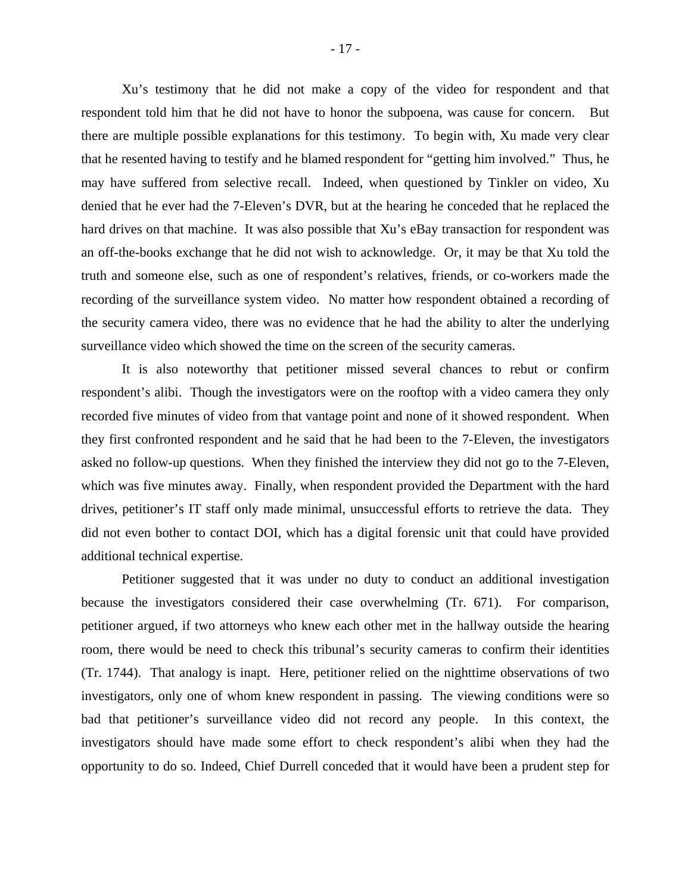Xu's testimony that he did not make a copy of the video for respondent and that respondent told him that he did not have to honor the subpoena, was cause for concern. But there are multiple possible explanations for this testimony. To begin with, Xu made very clear that he resented having to testify and he blamed respondent for "getting him involved." Thus, he may have suffered from selective recall. Indeed, when questioned by Tinkler on video, Xu denied that he ever had the 7-Eleven's DVR, but at the hearing he conceded that he replaced the hard drives on that machine. It was also possible that Xu's eBay transaction for respondent was an off-the-books exchange that he did not wish to acknowledge. Or, it may be that Xu told the truth and someone else, such as one of respondent's relatives, friends, or co-workers made the recording of the surveillance system video. No matter how respondent obtained a recording of the security camera video, there was no evidence that he had the ability to alter the underlying surveillance video which showed the time on the screen of the security cameras.

It is also noteworthy that petitioner missed several chances to rebut or confirm respondent's alibi. Though the investigators were on the rooftop with a video camera they only recorded five minutes of video from that vantage point and none of it showed respondent. When they first confronted respondent and he said that he had been to the 7-Eleven, the investigators asked no follow-up questions. When they finished the interview they did not go to the 7-Eleven, which was five minutes away. Finally, when respondent provided the Department with the hard drives, petitioner's IT staff only made minimal, unsuccessful efforts to retrieve the data. They did not even bother to contact DOI, which has a digital forensic unit that could have provided additional technical expertise.

Petitioner suggested that it was under no duty to conduct an additional investigation because the investigators considered their case overwhelming (Tr. 671). For comparison, petitioner argued, if two attorneys who knew each other met in the hallway outside the hearing room, there would be need to check this tribunal's security cameras to confirm their identities (Tr. 1744). That analogy is inapt. Here, petitioner relied on the nighttime observations of two investigators, only one of whom knew respondent in passing. The viewing conditions were so bad that petitioner's surveillance video did not record any people. In this context, the investigators should have made some effort to check respondent's alibi when they had the opportunity to do so. Indeed, Chief Durrell conceded that it would have been a prudent step for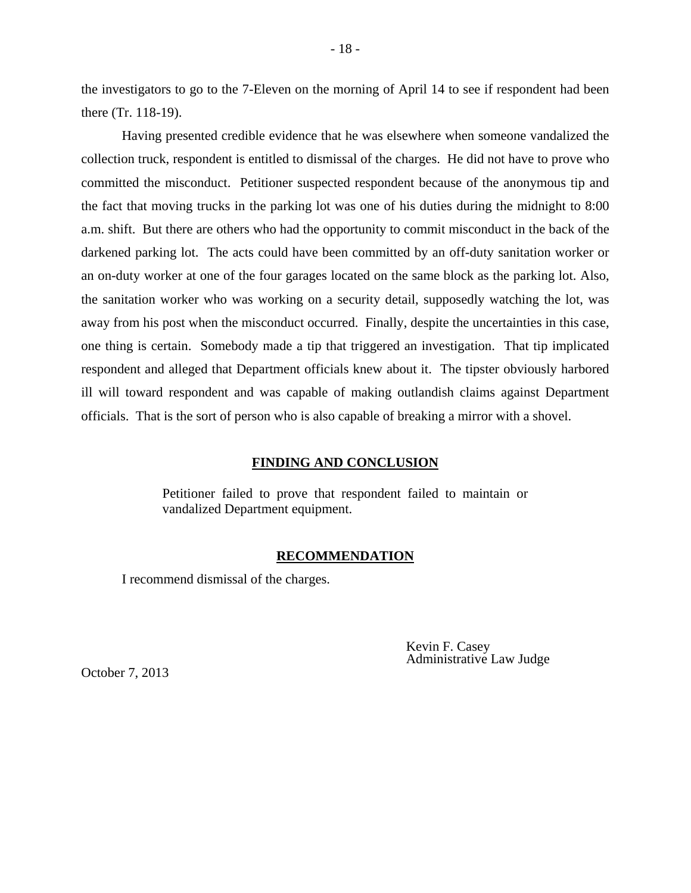the investigators to go to the 7-Eleven on the morning of April 14 to see if respondent had been there (Tr. 118-19).

 Having presented credible evidence that he was elsewhere when someone vandalized the collection truck, respondent is entitled to dismissal of the charges. He did not have to prove who committed the misconduct. Petitioner suspected respondent because of the anonymous tip and the fact that moving trucks in the parking lot was one of his duties during the midnight to 8:00 a.m. shift. But there are others who had the opportunity to commit misconduct in the back of the darkened parking lot. The acts could have been committed by an off-duty sanitation worker or an on-duty worker at one of the four garages located on the same block as the parking lot. Also, the sanitation worker who was working on a security detail, supposedly watching the lot, was away from his post when the misconduct occurred. Finally, despite the uncertainties in this case, one thing is certain. Somebody made a tip that triggered an investigation. That tip implicated respondent and alleged that Department officials knew about it. The tipster obviously harbored ill will toward respondent and was capable of making outlandish claims against Department officials. That is the sort of person who is also capable of breaking a mirror with a shovel.

#### **FINDING AND CONCLUSION**

Petitioner failed to prove that respondent failed to maintain or vandalized Department equipment.

#### **RECOMMENDATION**

I recommend dismissal of the charges.

Kevin F. Casey Administrative Law Judge

October 7, 2013